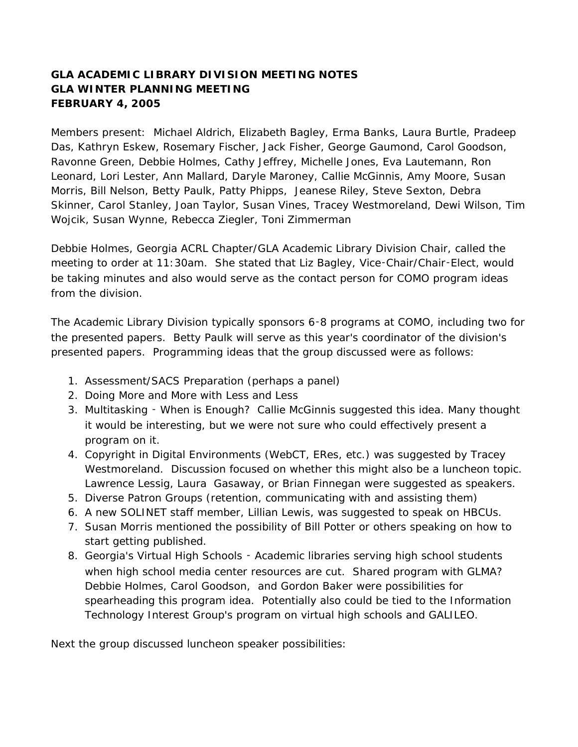## **GLA ACADEMIC LIBRARY DIVISION MEETING NOTES GLA WINTER PLANNING MEETING FEBRUARY 4, 2005**

Members present: Michael Aldrich, Elizabeth Bagley, Erma Banks, Laura Burtle, Pradeep Das, Kathryn Eskew, Rosemary Fischer, Jack Fisher, George Gaumond, Carol Goodson, Ravonne Green, Debbie Holmes, Cathy Jeffrey, Michelle Jones, Eva Lautemann, Ron Leonard, Lori Lester, Ann Mallard, Daryle Maroney, Callie McGinnis, Amy Moore, Susan Morris, Bill Nelson, Betty Paulk, Patty Phipps, Jeanese Riley, Steve Sexton, Debra Skinner, Carol Stanley, Joan Taylor, Susan Vines, Tracey Westmoreland, Dewi Wilson, Tim Wojcik, Susan Wynne, Rebecca Ziegler, Toni Zimmerman

Debbie Holmes, Georgia ACRL Chapter/GLA Academic Library Division Chair, called the meeting to order at 11:30am. She stated that Liz Bagley, Vice‑Chair/Chair‑Elect, would be taking minutes and also would serve as the contact person for COMO program ideas from the division.

The Academic Library Division typically sponsors 6‑8 programs at COMO, including two for the presented papers. Betty Paulk will serve as this year's coordinator of the division's presented papers. Programming ideas that the group discussed were as follows:

- 1. Assessment/SACS Preparation (perhaps a panel)
- 2. Doing More and More with Less and Less
- 3. Multitasking ‑ When is Enough? Callie McGinnis suggested this idea. Many thought it would be interesting, but we were not sure who could effectively present a program on it.
- 4. Copyright in Digital Environments (WebCT, ERes, etc.) was suggested by Tracey Westmoreland. Discussion focused on whether this might also be a luncheon topic. Lawrence Lessig, Laura Gasaway, or Brian Finnegan were suggested as speakers.
- 5. Diverse Patron Groups (retention, communicating with and assisting them)
- 6. A new SOLINET staff member, Lillian Lewis, was suggested to speak on HBCUs.
- 7. Susan Morris mentioned the possibility of Bill Potter or others speaking on how to start getting published.
- 8. Georgia's Virtual High Schools ‑ Academic libraries serving high school students when high school media center resources are cut. Shared program with GLMA? Debbie Holmes, Carol Goodson, and Gordon Baker were possibilities for spearheading this program idea. Potentially also could be tied to the Information Technology Interest Group's program on virtual high schools and GALILEO.

Next the group discussed luncheon speaker possibilities: